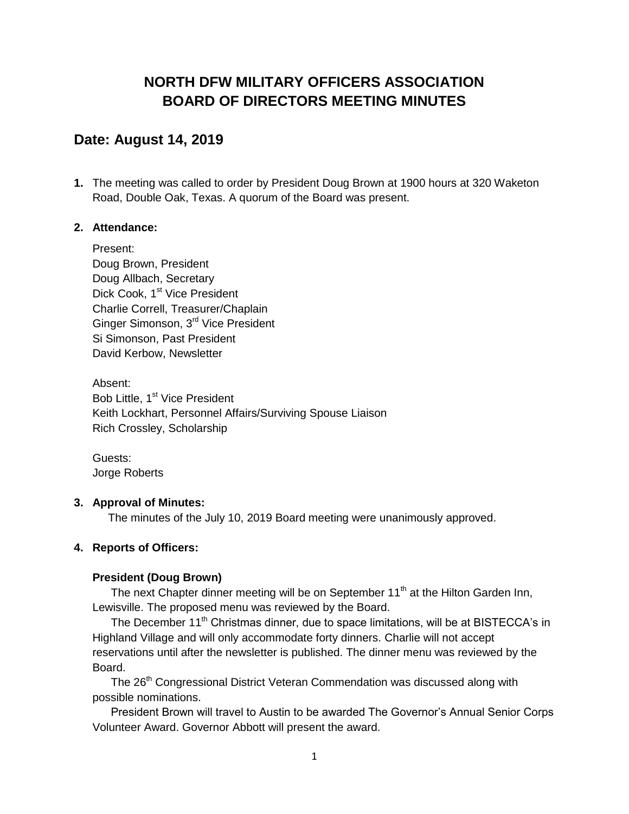# **NORTH DFW MILITARY OFFICERS ASSOCIATION BOARD OF DIRECTORS MEETING MINUTES**

## **Date: August 14, 2019**

**1.** The meeting was called to order by President Doug Brown at 1900 hours at 320 Waketon Road, Double Oak, Texas. A quorum of the Board was present.

#### **2. Attendance:**

Present: Doug Brown, President Doug Allbach, Secretary Dick Cook, 1<sup>st</sup> Vice President Charlie Correll, Treasurer/Chaplain Ginger Simonson, 3<sup>rd</sup> Vice President Si Simonson, Past President David Kerbow, Newsletter

Absent: Bob Little, 1<sup>st</sup> Vice President Keith Lockhart, Personnel Affairs/Surviving Spouse Liaison Rich Crossley, Scholarship

Guests: Jorge Roberts

## **3. Approval of Minutes:**

The minutes of the July 10, 2019 Board meeting were unanimously approved.

## **4. Reports of Officers:**

## **President (Doug Brown)**

The next Chapter dinner meeting will be on September  $11<sup>th</sup>$  at the Hilton Garden Inn, Lewisville. The proposed menu was reviewed by the Board.

The December 11<sup>th</sup> Christmas dinner, due to space limitations, will be at BISTECCA's in Highland Village and will only accommodate forty dinners. Charlie will not accept reservations until after the newsletter is published. The dinner menu was reviewed by the Board.

The 26<sup>th</sup> Congressional District Veteran Commendation was discussed along with possible nominations.

President Brown will travel to Austin to be awarded The Governor's Annual Senior Corps Volunteer Award. Governor Abbott will present the award.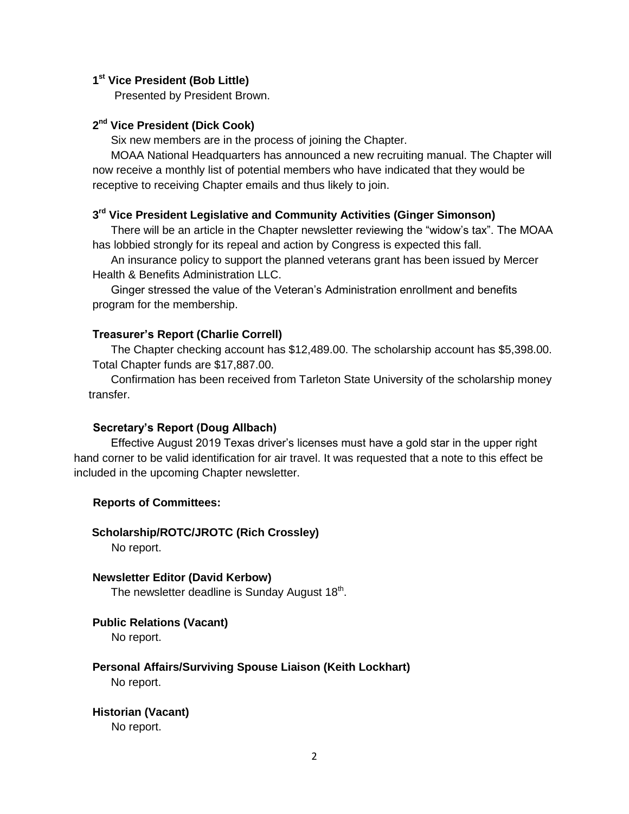#### **1 st Vice President (Bob Little)**

Presented by President Brown.

## **2 nd Vice President (Dick Cook)**

Six new members are in the process of joining the Chapter.

MOAA National Headquarters has announced a new recruiting manual. The Chapter will now receive a monthly list of potential members who have indicated that they would be receptive to receiving Chapter emails and thus likely to join.

## **3 rd Vice President Legislative and Community Activities (Ginger Simonson)**

There will be an article in the Chapter newsletter reviewing the "widow's tax". The MOAA has lobbied strongly for its repeal and action by Congress is expected this fall.

An insurance policy to support the planned veterans grant has been issued by Mercer Health & Benefits Administration LLC.

Ginger stressed the value of the Veteran's Administration enrollment and benefits program for the membership.

#### **Treasurer's Report (Charlie Correll)**

The Chapter checking account has \$12,489.00. The scholarship account has \$5,398.00. Total Chapter funds are \$17,887.00.

Confirmation has been received from Tarleton State University of the scholarship money transfer.

#### **Secretary's Report (Doug Allbach)**

Effective August 2019 Texas driver's licenses must have a gold star in the upper right hand corner to be valid identification for air travel. It was requested that a note to this effect be included in the upcoming Chapter newsletter.

#### **Reports of Committees:**

**Scholarship/ROTC/JROTC (Rich Crossley)** No report.

**Newsletter Editor (David Kerbow)** The newsletter deadline is Sunday August 18<sup>th</sup>.

#### **Public Relations (Vacant)**

No report.

#### **Personal Affairs/Surviving Spouse Liaison (Keith Lockhart)** No report.

**Historian (Vacant)** No report.